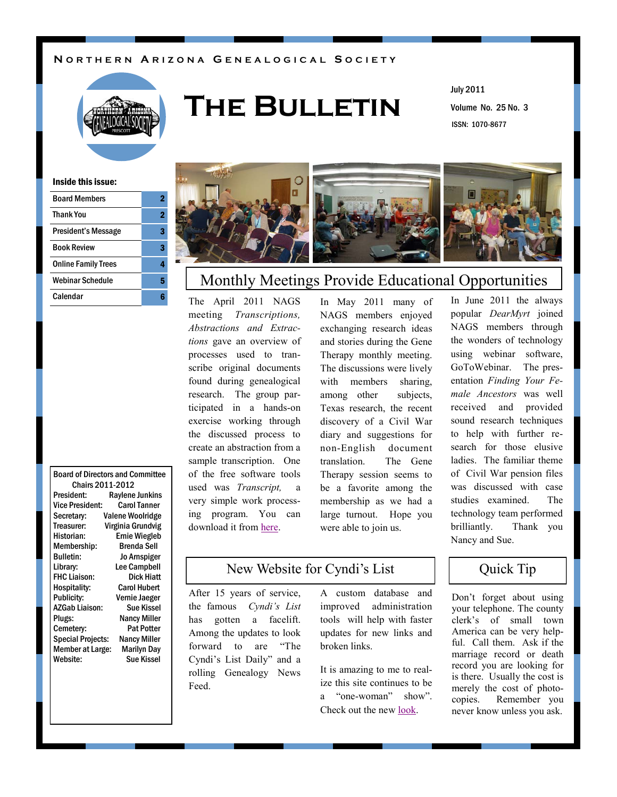### **N O R T H E R N A R I Z O N A G E N E A L O G I C A L S O C I E T Y**



# **The Bulletin**

Volume No. 25 No. 3 July 2011 ISSN: 1070-8677

#### Inside this issue:

| <b>Board Members</b>       |   |
|----------------------------|---|
| <b>Thank You</b>           | 2 |
| President's Message        |   |
| <b>Book Review</b>         | з |
| <b>Online Family Trees</b> |   |
| <b>Webinar Schedule</b>    | 5 |
| Calendar                   |   |
|                            |   |

#### Board of Directors and Committee Chairs 2011-2012

| President:               | Raylene Junkins         |
|--------------------------|-------------------------|
| Vice President:          | <b>Carol Tanner</b>     |
| Secretary:               | <b>Valene Woolridge</b> |
| Treasurer:               | Virginia Grundvig       |
| Historian:               | <b>Ernie Wiegleb</b>    |
| Membership:              | <b>Brenda Sell</b>      |
| <b>Bulletin:</b>         | <b>Jo Arnspiger</b>     |
| Library:                 | <b>Lee Campbell</b>     |
| <b>FHC Liaison:</b>      | Dick Hiatt              |
| Hospitality:             | <b>Carol Hubert</b>     |
| <b>Publicity:</b>        | Vernie Jaeger           |
| <b>AZGab Liaison:</b>    | <b>Sue Kissel</b>       |
| Plugs:                   | <b>Nancy Miller</b>     |
| Cemetery:                | Pat Potter              |
| <b>Special Projects:</b> | <b>Nancy Miller</b>     |
| <b>Member at Large:</b>  | Marilyn Day             |
| Website:                 | Sue Kissel              |
|                          |                         |

## Monthly Meetings Provide Educational Opportunities

The April 2011 NAGS meeting *Transcriptions, Abstractions and Extractions* gave an overview of processes used to transcribe original documents found during genealogical research. The group participated in a hands-on exercise working through the discussed process to create an abstraction from a sample transcription. One of the free software tools used was *Transcript,* a very simple work processing program. You can download it from [here.](http://www.jacobboerema.nl/en/Freeware.htm)

In May 2011 many of NAGS members enjoyed exchanging research ideas and stories during the Gene Therapy monthly meeting. The discussions were lively with members sharing, among other subjects, Texas research, the recent discovery of a Civil War diary and suggestions for non-English document translation. The Gene Therapy session seems to be a favorite among the membership as we had a large turnout. Hope you were able to join us.

In June 2011 the always popular *DearMyrt* joined NAGS members through the wonders of technology using webinar software, GoToWebinar. The presentation *Finding Your Female Ancestors* was well received and provided sound research techniques to help with further research for those elusive ladies. The familiar theme of Civil War pension files was discussed with case studies examined. The technology team performed brilliantly. Thank you Nancy and Sue.

### New Website for Cyndi's List  $\qquad$  | Quick Tip

After 15 years of service, the famous *Cyndi's List* has gotten a facelift. Among the updates to look forward to are "The Cyndi"s List Daily" and a rolling Genealogy News Feed.

A custom database and improved administration tools will help with faster updates for new links and broken links.

It is amazing to me to realize this site continues to be a "one-woman" show". Check out the new [look.](http://www.cyndislist.com/)

Don"t forget about using your telephone. The county clerk"s of small town America can be very helpful. Call them. Ask if the marriage record or death record you are looking for is there. Usually the cost is merely the cost of photocopies. Remember you never know unless you ask.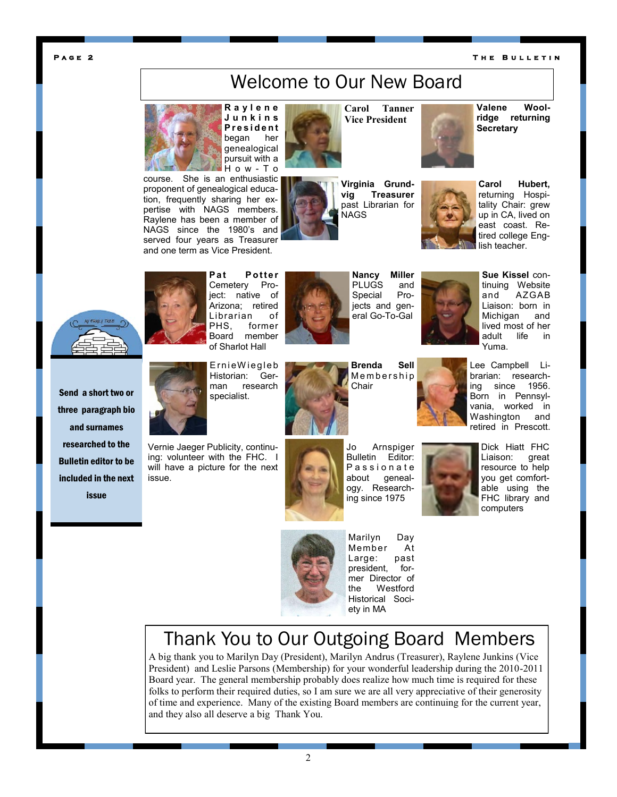#### **P a g e 2**

#### **T h e B u l l e t i n**

# Welcome to Our New Board



proponent of genealogical education, frequently sharing her expertise with NAGS members. Raylene has been a member of NAGS since the 1980's and served four years as Treasurer and one term as Vice President.

**R a y l e n e J u n k i n s P r e s i d e n t**  began her genealogical pursuit with a H o w - T o



**Virginia Grundvig Treasurer**  past Librarian for NAGS

**Carol Tanner Vice President**



**Carol Hubert,**  returning Hospitality Chair: grew up in CA, lived on east coast. Retired college English teacher.



**Pat Potter** Cemetery Project: native of Arizona; retired Librarian of PHS, former Board member of Sharlot Hall

E r n i eW ieg le b Historian: Ger-



**Nancy Miller**  PLUGS and Special Projects and general Go-To-Gal



**Sue Kissel** continuing Website and AZGAB Liaison: born in Michigan and lived most of her adult life in Yuma.

Send a short two or three paragraph bio and surnames researched to the Bulletin editor to be included in the next issue



issue.

man research specialist.

Vernie Jaeger Publicity, continuing: volunteer with the FHC. I will have a picture for the next



**Brenda Sell Membership** Chair

Jo Arnspiger Bulletin Editor: P a s s i o n a t e about genealogy. Researching since 1975





Dick Hiatt FHC Liaison: great resource to help you get comfortable using the FHC library and computers



Marilyn Day Member At<br>Large: past Large: president, former Director of the Westford Historical Society in MA

# Thank You to Our Outgoing Board Members

A big thank you to Marilyn Day (President), Marilyn Andrus (Treasurer), Raylene Junkins (Vice President) and Leslie Parsons (Membership) for your wonderful leadership during the 2010-2011 Board year. The general membership probably does realize how much time is required for these folks to perform their required duties, so I am sure we are all very appreciative of their generosity of time and experience. Many of the existing Board members are continuing for the current year, and they also all deserve a big Thank You.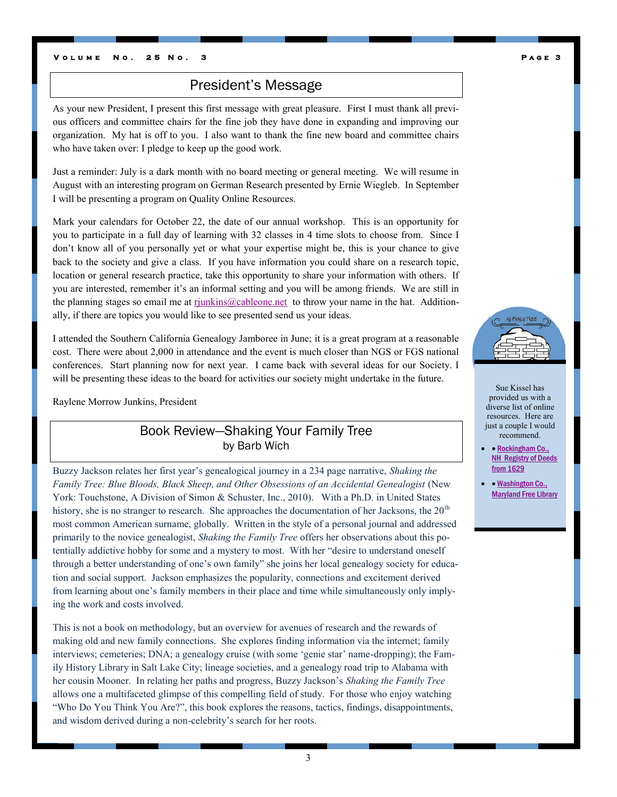### President's Message

As your new President, I present this first message with great pleasure. First I must thank all previous officers and committee chairs for the fine job they have done in expanding and improving our organization. My hat is off to you. I also want to thank the fine new board and committee chairs who have taken over: I pledge to keep up the good work.

Just a reminder: July is a dark month with no board meeting or general meeting. We will resume in August with an interesting program on German Research presented by Ernie Wiegleb. In September I will be presenting a program on Quality Online Resources.

Mark your calendars for October 22, the date of our annual workshop. This is an opportunity for you to participate in a full day of learning with 32 classes in 4 time slots to choose from. Since I don"t know all of you personally yet or what your expertise might be, this is your chance to give back to the society and give a class. If you have information you could share on a research topic, location or general research practice, take this opportunity to share your information with others. If you are interested, remember it's an informal setting and you will be among friends. We are still in the planning stages so email me at [rjunkins@cableone.net](mailto:rjunkins@cableone.net) to throw your name in the hat. Additionally, if there are topics you would like to see presented send us your ideas.

I attended the Southern California Genealogy Jamboree in June; it is a great program at a reasonable cost. There were about 2,000 in attendance and the event is much closer than NGS or FGS national conferences. Start planning now for next year. I came back with several ideas for our Society. I will be presenting these ideas to the board for activities our society might undertake in the future.

Raylene Morrow Junkins, President

### Book Review—Shaking Your Family Tree by Barb Wich

Buzzy Jackson relates her first year"s genealogical journey in a 234 page narrative, *Shaking the Family Tree: Blue Bloods, Black Sheep, and Other Obsessions of an Accidental Genealogist* (New York: Touchstone, A Division of Simon & Schuster, Inc., 2010). With a Ph.D. in United States history, she is no stranger to research. She approaches the documentation of her Jacksons, the 20<sup>th</sup> most common American surname, globally. Written in the style of a personal journal and addressed primarily to the novice genealogist, *Shaking the Family Tree* offers her observations about this potentially addictive hobby for some and a mystery to most. With her "desire to understand oneself through a better understanding of one"s own family" she joins her local genealogy society for education and social support. Jackson emphasizes the popularity, connections and excitement derived from learning about one"s family members in their place and time while simultaneously only implying the work and costs involved.

This is not a book on methodology, but an overview for avenues of research and the rewards of making old and new family connections. She explores finding information via the internet; family interviews; cemeteries; DNA; a genealogy cruise (with some "genie star" name-dropping); the Family History Library in Salt Lake City; lineage societies, and a genealogy road trip to Alabama with her cousin Mooner. In relating her paths and progress, Buzzy Jackson"s *Shaking the Family Tree*  allows one a multifaceted glimpse of this compelling field of study. For those who enjoy watching "Who Do You Think You Are?", this book explores the reasons, tactics, findings, disappointments, and wisdom derived during a non-celebrity's search for her roots.



Sue Kissel has provided us with a diverse list of online resources. Here are just a couple I would recommend.

• Rockingham Co., [NH Registry of Deeds](http://www.nhdeeds.com/rockingham/RoHome.html)  [from 1629](http://www.nhdeeds.com/rockingham/RoHome.html)

• Washington Co., **[Maryland Free Library](http://www.washcolibrary.org/)**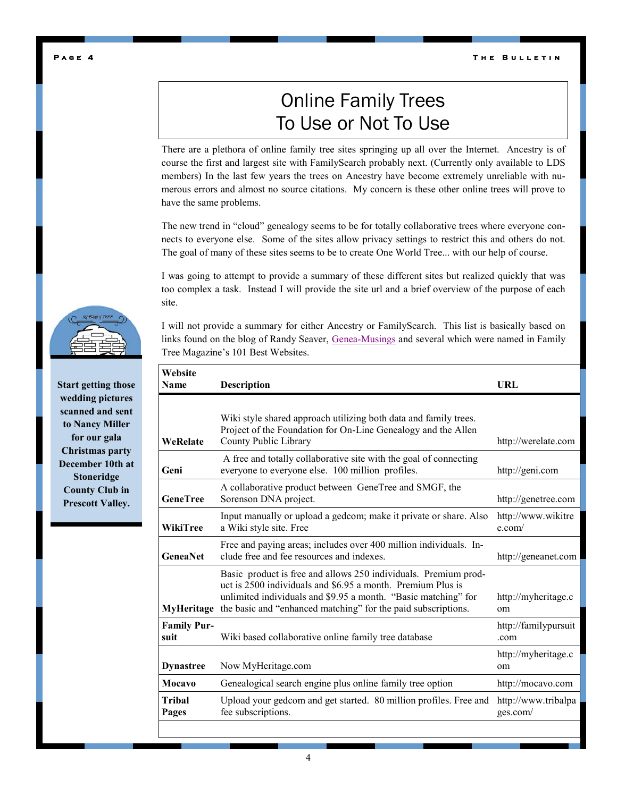**T h e B u l l e t i n** 

# Online Family Trees To Use or Not To Use

There are a plethora of online family tree sites springing up all over the Internet. Ancestry is of course the first and largest site with FamilySearch probably next. (Currently only available to LDS members) In the last few years the trees on Ancestry have become extremely unreliable with numerous errors and almost no source citations. My concern is these other online trees will prove to have the same problems.

The new trend in "cloud" genealogy seems to be for totally collaborative trees where everyone connects to everyone else. Some of the sites allow privacy settings to restrict this and others do not. The goal of many of these sites seems to be to create One World Tree... with our help of course.

I was going to attempt to provide a summary of these different sites but realized quickly that was too complex a task. Instead I will provide the site url and a brief overview of the purpose of each site.

I will not provide a summary for either Ancestry or FamilySearch. This list is basically based on links found on the blog of Randy Seaver, [Genea-Musings](http://www.geneamusings.com/) and several which were named in Family Tree Magazine"s 101 Best Websites.

| Website<br>Name            | <b>Description</b>                                                                                                                                                                                                                                                           | URL                                  |
|----------------------------|------------------------------------------------------------------------------------------------------------------------------------------------------------------------------------------------------------------------------------------------------------------------------|--------------------------------------|
| WeRelate                   | Wiki style shared approach utilizing both data and family trees.<br>Project of the Foundation for On-Line Genealogy and the Allen<br>County Public Library                                                                                                                   | http://werelate.com                  |
| Geni                       | A free and totally collaborative site with the goal of connecting<br>everyone to everyone else. 100 million profiles.                                                                                                                                                        | http://geni.com                      |
| <b>GeneTree</b>            | A collaborative product between GeneTree and SMGF, the<br>Sorenson DNA project.                                                                                                                                                                                              | http://genetree.com                  |
| WikiTree                   | Input manually or upload a gedcom; make it private or share. Also<br>a Wiki style site. Free                                                                                                                                                                                 | http://www.wikitre<br>e.com/         |
| <b>GeneaNet</b>            | Free and paying areas; includes over 400 million individuals. In-<br>clude free and fee resources and indexes.                                                                                                                                                               | http://geneanet.com                  |
|                            | Basic product is free and allows 250 individuals. Premium prod-<br>uct is 2500 individuals and \$6.95 a month. Premium Plus is<br>unlimited individuals and \$9.95 a month. "Basic matching" for<br>MyHeritage the basic and "enhanced matching" for the paid subscriptions. | http://myheritage.c<br><sub>om</sub> |
| <b>Family Pur-</b><br>suit | Wiki based collaborative online family tree database                                                                                                                                                                                                                         | http://familypursuit<br>.com         |
| <b>Dynastree</b>           | Now MyHeritage.com                                                                                                                                                                                                                                                           | http://myheritage.c<br>om            |
| Mocavo                     | Genealogical search engine plus online family tree option                                                                                                                                                                                                                    | http://mocavo.com                    |
| <b>Tribal</b><br>Pages     | Upload your gedcom and get started. 80 million profiles. Free and<br>fee subscriptions.                                                                                                                                                                                      | http://www.tribalpa<br>ges.com/      |
|                            |                                                                                                                                                                                                                                                                              |                                      |



**Start getting those wedding pictures scanned and sent to Nancy Miller for our gala Christmas party December 10th at Stoneridge County Club in Prescott Valley.**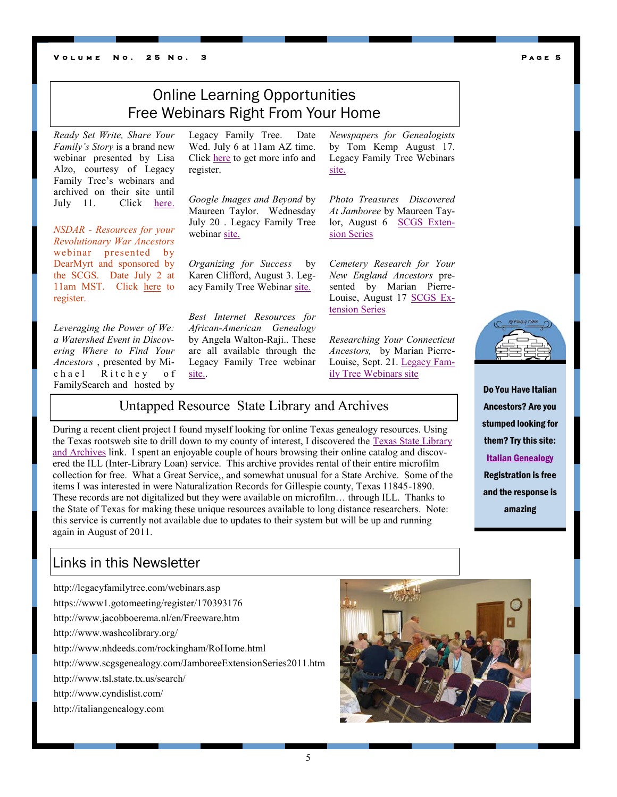#### **V O L U M E N O . 25 N O .**

# Online Learning Opportunities Free Webinars Right From Your Home

*Ready Set Write, Share Your Family's Story* is a brand new webinar presented by Lisa Alzo, courtesy of Legacy Family Tree's webinars and archived on their site until July 11. Click [here.](http://legacyfamilytree.com/webinars.asp)

*NSDAR - Resources for your Revolutionary War Ancestors*  webinar presented by DearMyrt and sponsored by the SCGS. Date July 2 at 11am MST. Click [here](https://www1.gotomeeting.com/register/170393176) to register.

*Leveraging the Power of We: a Watershed Event in Discovering Where to Find Your Ancestors* , presented by Michael Ritchey of FamilySearch and hosted by

Legacy Family Tree. Date Wed. July 6 at 11am AZ time. Click [here](http://www.legacyfamilytree.com/Webinars.asp) to get more info and register.

*Google Images and Beyond* by Maureen Taylor. Wednesday July 20 . Legacy Family Tree webinar [site.](http://www.legacyfamilytree.com/Webinars.asp)

*Organizing for Success* by Karen Clifford, August 3. Legacy Family Tree Webinar [site.](http://www.legacyfamilytree.com/Webinars.asp)

*Best Internet Resources for African-American Genealogy* by Angela Walton-Raji.. These are all available through the Legacy Family Tree webinar [site..](http://www.legacyfamilytree.com/Webinars.asp)

*Newspapers for Genealogists* by Tom Kemp August 17. Legacy Family Tree Webinars [site.](http://www.legacyfamilytree.com/Webinars.asp)

*Photo Treasures Discovered At Jamboree* by Maureen Taylor, August 6 [SCGS Exten](http://www.scgsgenealogy.com/JamboreeExtensionSeries2011.htm)[sion Series](http://www.scgsgenealogy.com/JamboreeExtensionSeries2011.htm)

*Cemetery Research for Your New England Ancestors* presented by Marian Pierre-Louise, August 17 [SCGS Ex](http://www.scgsgenealogy.com/JamboreeExtensionSeries2011.htm)[tension Series](http://www.scgsgenealogy.com/JamboreeExtensionSeries2011.htm)

*Researching Your Connecticut Ancestors,* by Marian Pierre-Louise, Sept. 21. [Legacy Fam](http://www.legacyfamilytree.com/Webinars.asp)[ily Tree Webinars site](http://www.legacyfamilytree.com/Webinars.asp)

### Untapped Resource State Library and Archives

During a recent client project I found myself looking for online Texas genealogy resources. Using the Texas rootsweb site to drill down to my county of interest, I discovered the [Texas State Library](http://www.tsl.state.tx.us/search/)  [and Archives](http://www.tsl.state.tx.us/search/) link. I spent an enjoyable couple of hours browsing their online catalog and discovered the ILL (Inter-Library Loan) service. This archive provides rental of their entire microfilm collection for free. What a Great Service,, and somewhat unusual for a State Archive. Some of the items I was interested in were Naturalization Records for Gillespie county, Texas 11845-1890. These records are not digitalized but they were available on microfilm… through ILL. Thanks to the State of Texas for making these unique resources available to long distance researchers. Note: this service is currently not available due to updates to their system but will be up and running again in August of 2011.

### Links in this Newsletter

http://legacyfamilytree.com/webinars.asp https://www1.gotomeeting/register/170393176 http://www.jacobboerema.nl/en/Freeware.htm http://www.washcolibrary.org/ http://www.nhdeeds.com/rockingham/RoHome.html http://www.scgsgenealogy.com/JamboreeExtensionSeries2011.htm http://www.tsl.state.tx.us/search/ http://www.cyndislist.com/ http://italiangenealogy.com





Do You Have Italian Ancestors? Are you stumped looking for them? Try this site: [Italian Genealogy](http://italiangenealogy.com/) Registration is free and the response is amazing